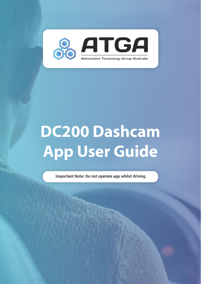

# **DC200 Dashcam App User Guide**

**Important Note: Do not operate app whilst driving**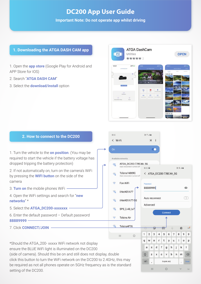# **DC200 App User Guide**

**Important Note: Do not operate app whilst driving**

### **1. Downloading the ATGA DASH CAM app**

1. Open the **app store** (Google Play for Android and APP Store for IOS)

- 2. Search "**ATGA DASH CAM**"
- 3. Select the **download/install** option



#### **2. How to connect to the DC200**

1. Turn the vehicle to the **on position**. (You may be required to start the vehicle if the battery voltage has dropped tripping the battery protection)

2. If not automatically on, turn on the camera's WiFi by pressing the **WIFI button** on the side of the camera

3. **Turn on** the mobile phones WiFi

- 4. Open the WiFi settings and search for "**new networks**" \*
- 5. Select the **ATGA\_DC200-xxxxxxx**
- 6. Enter the default password Default password **88889999**
- 7. Click **CONNECT/JOIN**

 $8:12$  $m = 100$ < Wi-Fi  $\mathbb{R}$  :  $\bullet$ Available networks ATGA\_DC200-77BC4A\_5G  $\widehat{\mathbb{R}}$ nect turned off  $R-12$ 2012-010 Telstra16869C < ATGA DC200-77BC4A 5G  $\widehat{\mathbb{R}}$ nnect turned off Auto rece 宕 Fon WiFi 88889999  $\circ$ iiNet401A77 ক্ল  $\infty$ Auto reconnect  $\widehat{\tau_{\mathbf{B}}}$ iiNet401A77-5G Advanced ক্লী SPS\_2.4G\_loT Connect  $\hat{\mathbf{z}}$ **Telstra Air** 帚 Telstra4F76 e  $\boxed{=}$ හි ...  $6\phantom{a}$  $\overline{7}$  $\mathsf g$  $\mathbf{0}$  $\ddot{1}$  $\overline{2}$  $\overline{3}$  $\overline{4}$ 5  $\overline{8}$  $\circ$ TH.  $\mathsf t$  $\overline{q}$ W  $\mathsf{e}% _{t}\left( t\right)$  $\mathsf{r}$ y  $\sf u$  $\mathbf{i}$  $\circ$ p  $f$  $h$ Ť  $\bf k$  $\mathbf{I}$  $\overline{a}$  $\mathbf{s}$  $\mathbf d$  $\mathbf{g}$ z  $\mathbf b$ 슈  $\mathbf{x}$  $\mathbf{C}$  $\mathsf{v}$  $\mathsf{n}$  $m$  $\sqrt{x}$  $!#1$ English (AU) ä, Ш  $\circ$ 

\*Should the ATGA\_200- xxxxx WiFi network not display ensure the BLUE WiFi light is illuminated on the DC200 (side of camera). Should this be on and still does not display, double click this button to turn the WiFi network on the DC200 to 2.4GHz, this may be required as not all phones operate on 5GHz frequency as is the standard setting of the DC200.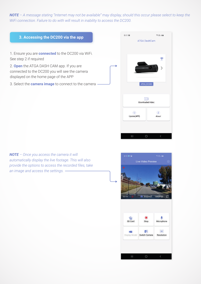*NOTE – A message stating "Internet may not be available" may display, should this occur please select to keep the WiFi connection. Failure to do with will result in inability to access the DC200.* 

# $8:13 \n **iii**$ 令班山童 **3. Accessing the DC200 via the app ATGA DashCam** 1. Ensure you are **connected** to the DC200 via WiFi. See step 2 if required Ş 2. **Open** the ATGA DASH CAM app. If you are connected to the DC200 you will see the camera displayed on the home page of the APP 3. Select the **camera image** to connect to the camera ATGA DC  $\overline{\phantom{a}}$ Downloaded Video  $\circledcirc$  $\circ$ Update(APP) About

*NOTE – Once you access the camera it will automatically display the live footage. This will also provide the options to access the recorded files, take an image and access the settings.* 



 $\bigcirc$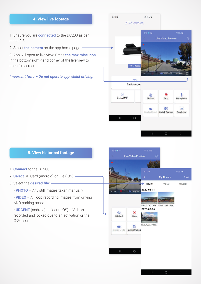#### **4. View live footage**

1. Ensure you are **connected** to the DC200 as per steps 2-3.

2. Select **the camera** on the app home page.

3. App will open to live view. Press **the maximise icon** in the bottom right-hand corner of the live view to open full screen.

*Important Note – Do not operate app whilst driving.*



## **5. View historical footage**

- 1. **Connect** to the DC200
- 2. **Select** SD Card (android) or File (IOS)
- 3. Select the **desired file**:
	- **PHOTO** Any still images taken manually
	- **VIDEO** All loop recording images from driving AND parking mode

• **URGENT** (android) Incident (iOS) – Video's recorded and locked due to an activation or the G-Sensor

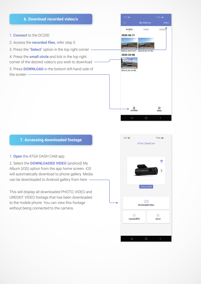

#### **7. Accessing downloaded footage**

#### 1. **Open** the ATGA DASH CAM app

2. Select the **DOWNLOADED VIDEO** (android) My Album (iOS) option from the app home screen. iOS will automatically download to phone gallery. Media can be downloaded to Android gallery from here -

This will display all downloaded PHOTO, VIDEO and UREGNT VIDEO footage that has been downloaded to the mobile phone. You can view this footage without being connected to the camera.

| 8:13 国                        | 重振器商<br><b>ATGA DashCam</b>                 |
|-------------------------------|---------------------------------------------|
|                               |                                             |
|                               |                                             |
|                               | Ξ                                           |
|                               | $\left\langle \right\rangle$                |
|                               | ATGA_DC200                                  |
|                               | $\overline{\mathbb{R}}$<br>Downloaded Video |
| $\circledcirc$<br>Update(APP) | $\circledast$<br>About                      |
|                               |                                             |
|                               |                                             |
|                               |                                             |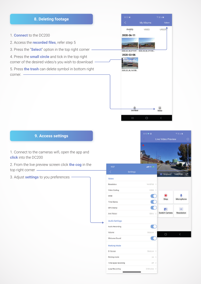

# **9. Access settings**

1. Connect to the cameras wifi, open the app and **click** into the DC200

2. From the live preview screen click **the cog** in the top right corner

3. Adjust **settings** to you preferences

|                 |       |                  |                                                                               | ●加盟金                                                  |
|-----------------|-------|------------------|-------------------------------------------------------------------------------|-------------------------------------------------------|
|                 |       |                  |                                                                               | O                                                     |
|                 |       |                  |                                                                               |                                                       |
|                 |       |                  |                                                                               |                                                       |
| <b>Settings</b> |       |                  |                                                                               | 1440P30<br>☞                                          |
|                 |       |                  |                                                                               |                                                       |
|                 |       |                  |                                                                               |                                                       |
|                 |       |                  |                                                                               |                                                       |
|                 |       |                  | $\circledcirc$                                                                |                                                       |
|                 |       |                  |                                                                               | Microphone                                            |
|                 |       |                  | FA                                                                            | HD                                                    |
|                 | 60Hz  |                  | Switch Camera                                                                 | Resolution                                            |
|                 |       |                  |                                                                               |                                                       |
|                 |       |                  |                                                                               |                                                       |
|                 |       |                  |                                                                               | $\langle$                                             |
|                 |       |                  |                                                                               |                                                       |
|                 |       |                  |                                                                               |                                                       |
|                 |       |                  |                                                                               |                                                       |
|                 | on    |                  |                                                                               |                                                       |
|                 | off > |                  |                                                                               |                                                       |
|                 |       | $8:13 + 12$<br>۰ | $nH$ 4G $\geq$<br>1440P30 ><br>H265 ><br>-5<br>Medium ><br>Medium ><br>$\geq$ | Live Video Preview<br><b>El</b> Snapshot<br>Stop<br>O |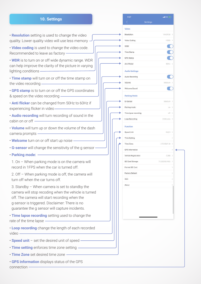#### **10. Settings**

• **Resolution** setting is used to change the video quality. Lower quality video will use less memory

• **Video coding** is used to change the video code. Recommended to leave as factory

• **WDR** is to turn on or off wide dynamic range. WDR can help improve the clarity of the picture in varying lighting conditions -

• **Time stamp** will turn on or off the time stamp on the video recording

• **GPS stamp** is to turn on or off the GPS coordinates & speed on the video recording

• **Anti flicker** can be changed from 50Hz to 60Hz if experiencing flicker in video

• **Audio recording** will turn recording of sound in the cabin on or off

• **Volume** will turn up or down the volume of the dash camera prompts

- **Welcome** turn on or off start up noise
- **G-sensor** will change the sensitivity of the g sensor
- **Parking mode:**

1. On – When parking mode is on the camera will record in 1FPS when the car is turned off.

2. Off – When parking mode is off, the camera will turn off when the car turns off.

3. Standby – When camera is set to standby the camera will stop recoding when the vehicle is turned off. The camera will start recording when the g-sensor is triggered. Disclaimer: There is no guarantee the g sensor will capture incidents.

• **Time lapse recording** setting used to change the rate of the time lapse

• **Loop recording** change the length of each recorded video

- **Speed unit** set the desired unit of speed
- **Time setting** enforces time zone setting
- **Time Zone** set desired time zone
- **GPS information** displays status of the GPS connection -

|                        | all $46 \pm 1$  |        |
|------------------------|-----------------|--------|
| K                      | <b>Settings</b> |        |
| Video                  |                 |        |
| Resolution             | 1440P30 >       |        |
| Video Coding           | H265 >          |        |
| WDR                    |                 |        |
| Time Stamp             |                 |        |
| <b>GPS Stamp</b>       |                 |        |
| Anti Flicker           | 60Hz            |        |
| <b>Audio Settings</b>  |                 |        |
| Audio Recording        |                 |        |
| Volume                 | Medium          | -15    |
| Welcome Sound          |                 |        |
|                        |                 |        |
| <b>Parking Mode</b>    |                 |        |
| G-Sensor               | Medium >        |        |
| Parking mode           | on              | $\geq$ |
| Time lapse recording   | off >           |        |
| Loop Recording         | 3 Minutes       |        |
| Function               |                 |        |
| Speed Unit             | KM/H >          |        |
| <b>Time Setting</b>    |                 | ž      |
| Time Zone              | UTC/GMT+8 >     |        |
| <b>GPS</b> Information |                 | ð      |
| Vehicle Registration   | CJB8            | $\geq$ |
| SD Card Storage        | 11,22G/59,46G > |        |
| Format SD Card         |                 | D,     |
| <b>Factory Default</b> |                 | S,     |
| WiFi                   |                 | ×      |
| About                  |                 | ž      |
|                        |                 |        |